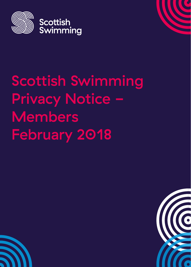

# Scottish Swimming Privacy Notice -Members February 2018

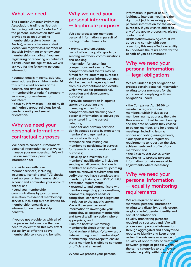#### What we need

The Scottish Amateur Swimming Association, trading as Scottish Swimming, will be a "controller" of the personal information that you provide to us on our online membership system (known as Azolve), unless otherwise stated. When you register as a member of Scottish Swimming or renew your membership (including if you are registering or renewing on behalf of a child under the age of 16), we will ask you for the following personal information:

• contact details – name, address, email address (for children under 16 this is the email address of the parent), and date of birth; • membership criteria / category swimmer, non-swimmer or volunteer;

• equality information – disability (if any), ethnic group, religious belief, gender identity and sexual orientation.

#### Why we need your personal information contractual purposes

We need to collect our members' personal information so that we can manage your membership. We will use our members' personal information to:

• provide you with core member services, including, insurance, licensing and PVG checks; • set up your online membership account and administer your account online; and

• send you membership communications by post or email in relation to essential membership services, including but not limited to, membership renewals and information on membership benefits.

If you do not provide us with all of the personal information that we need to collect then this may affect our ability to offer the above membership services and benefits.

## Why we need your personal information – legitimate purposes

We also process our members' personal information in pursuit of our legitimate interests to:

• promote and encourage participation in aquatic sports by sending members' communications and booking

information for upcoming competitions and events. Our competitions and events may be filmed for live streaming purposes and your personal information may also be used in images captured from our competitions and events, which we use for promotional, education and development purposes;

• provide competition in aquatic sports by accepting and managing entries for our competitions and checking your personal information to ensure you are entered into the correct category;

• monitor and develop participation in aquatic sports by monitoring members' engagement and participation through attendance and inviting our members to participate in surveys for researching and development purposes;

• develop and maintain our members' qualifications, including sending email communications to members to inform you of upcoming courses, renewal requirements and verify that you have completed any mandatory training and PVG  $\angle$  child protection requirements;

• respond to and communicate with members regarding your questions, comments, support needs or complaints, concerns or allegations in relation to the aquatic sports. We will use your personal information to investigate your complaint, to suspend membership and take disciplinary action where appropriate; and

• run the Scottish Swimming membership check which can be found online at https://www.scottishswimming.com/membership/ membership-check.aspx to ensure that a member is eligible to compete or officiate at an event.

Where we process your personal

information in pursuit of our legitimate interests, you have the right to object to us using your personal information for the above purposes. If you wish to object to any of the above processing, please contact us at

DP@scottishswimming.com. If we agree and comply with your objection, this may affect our ability to undertake the tasks above for the benefit of you as a member.

## Why we need your personal information – legal obligations

We are under a legal obligation to process certain personal information relating to our members for the purposes of complying with our obligations under:

• the Companies Act 2006 to maintain a register of our members, which includes our members' name, address, the date they were admitted to membership and the date on which they ceased to be our member, and hold general meetings, including issuing notices and voting arrangements; • our sportscotland regulatory requirements to report on the size, achievements and profile of our members; and

• the Equality Act 2010, which requires us to process personal information to make reasonable adjustments where necessary.

## Why we need your personal information – equality monitoring requirements

We are required to use our members' personal information relating to a disability, ethnic group, religious belief, gender identity and sexual orientation for equality monitoring purposes required by sportscotland. We will process such personal information through aggregated and anonymised reports to identify and keep under review the existence or absence of equality of opportunity or treatment between groups of people within the same categories to promote or maintain equality within our sport.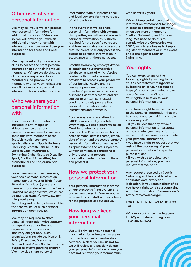#### Other uses of your personal information

We may ask you if we can process your personal information for additional purposes. Where we do so, we will provide you with an additional privacy notice with information on how we will use your information for these additional purposes.

We may be asked by our member clubs to collect and store personal information about their individual members. Where we do this, the clubs have a responsibility as "controllers" to provide their members with privacy notices and we will not use such personal information for any other purpose.

#### Who we share your personal information with

If your personal information is included in any images or videos taken by us at our competitions and events, we may share this with members of the Scottish media, sponsors, sportscotland and Sports Partners (including Scottish Leisure Trusts, Scottish Local Authorities, Swimming Clubs, Scottish Disability Sport, Scottish Universities) for promotional and/or journalistic purposes.

For active competitive members, your basic personal information (name, gender, year of birth if over 16 and which club(s) you are a member of) is shared with the Swim England rankings system, which can be found at https://www.swimmingresults.org Swim England rankings team will be the "controller" of such personal information upon receipt.

We may be required to share personal information with statutory or regulatory authorities and organisations to comply with statutory obligations. Such organisations include the Health & Safety Executive, Disclosure Scotland, and Police Scotland for the purposes of safeguarding children. We may also share personal

information with our professional and legal advisors for the purposes of taking advice.

In the event that we do share personal information with external third parties, we will only share such personal information as is strictly required for the specific purposes and take reasonable steps to ensure that recipients shall only process the disclosed personal information in accordance with those purposes.

Scottish Swimming employs Azolve to administer our membership database, as part of which Azolve contracts third party payment providers to process your payments of our behalf. Azolve and its payment providers process our members' personal information on our behalf as "processors" and are subject to written contractual conditions to only process that personal information under our instructions and protect it.

For members who are attending UKCC courses run by Scottish Swimming, we use a platform called OneFile to administer our courses. The Onefile system holds basic personal details (name, email, date of birth) and processes learners' personal information on our behalf as "processors" and are subject to written contractual conditions to only process that personal information under our instructions and protect it.

#### How we protect your personal information

Your personal information is stored on our electronic filing system and our servers based in Europe, and is accessed by our staff and volunteers for the purposes set out above.

## How long we keep your personal information

We will only keep your personal information for as long as necessary to provide you with membership services. Unless you ask us not to, we will review and possibly delete your personal information where you have not renewed your membership

with us for six years.

We will keep certain personal information of members for longer in order to confirm your identity, when you were a member of Scottish Swimming and for how long. We need to do this to comply with the Companies Act 2006, which requires us to keep a register of members or in the event of a claim against Scottish Swimming.

#### Your rights

You can exercise any of the following rights by writing to us at DP@scottishswimming.com or by logging on to your account at https://scottishswimming.azolve. com/Account.mvc/LogIn Your rights in relation to your personal information are:

- you have a right to request access to the personal information that we hold about you by making a "subject access request";
- if you believe that any of your personal information is inaccurate or incomplete, you have a right to request that we correct or complete your personal information;
- you have a right to request that we restrict the processing of your personal information for specific purposes; and

• if you wish us to delete your personal information, you may request that we do so.

Any requests received by Scottish Swimming will be considered under applicable data protection legislation. If you remain dissatisfied, you have a right to raise a complaint with the Information Commissioner's Office at www.ico.org.uk

#### FOR FURTHER INFORMATION GO TO:

W: www.scottishswimming.com E: DP@scottishswimming.com T: 01786 466520